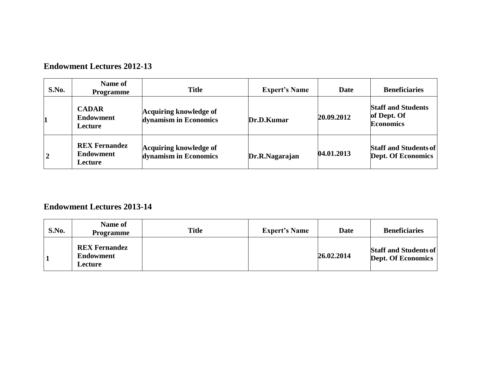### **Endowment Lectures 2012-13**

| S.No.          | Name of<br><b>Programme</b>                                | <b>Title</b>                                    | <b>Expert's Name</b> | Date       | <b>Beneficiaries</b>                                         |
|----------------|------------------------------------------------------------|-------------------------------------------------|----------------------|------------|--------------------------------------------------------------|
|                | <b>CADAR</b><br><b>Endowment</b><br><b>Lecture</b>         | Acquiring knowledge of<br>dynamism in Economics | Dr.D.Kumar           | 20.09.2012 | <b>Staff and Students</b><br>of Dept. Of<br><b>Economics</b> |
| $\overline{2}$ | <b>REX Fernandez</b><br><b>Endowment</b><br><b>Lecture</b> | Acquiring knowledge of<br>dynamism in Economics | Dr.R.Nagarajan       | 04.01.2013 | <b>Staff and Students of</b><br><b>Dept. Of Economics</b>    |

# **Endowment Lectures 2013-14**

| S.No. | Name of<br><b>Programme</b>                         | <b>Title</b> | <b>Expert's Name</b> | Date       | <b>Beneficiaries</b>                                      |
|-------|-----------------------------------------------------|--------------|----------------------|------------|-----------------------------------------------------------|
|       | <b>REX Fernandez</b><br>Endowment<br><b>Lecture</b> |              |                      | 26.02.2014 | <b>Staff and Students of</b><br><b>Dept. Of Economics</b> |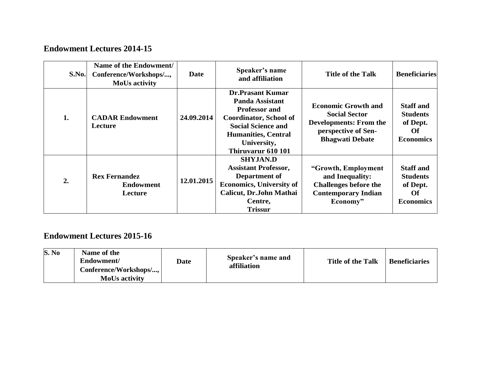# **Endowment Lectures 2014-15**

| S.No. | Name of the Endowment/<br>Conference/Workshops/,<br><b>MoUs activity</b> | Date       | Speaker's name<br>and affiliation                                                                                                                                                                   | <b>Title of the Talk</b>                                                                                                             | <b>Beneficiaries</b>                                                             |
|-------|--------------------------------------------------------------------------|------------|-----------------------------------------------------------------------------------------------------------------------------------------------------------------------------------------------------|--------------------------------------------------------------------------------------------------------------------------------------|----------------------------------------------------------------------------------|
| 1.    | <b>CADAR Endowment</b><br>Lecture                                        | 24.09.2014 | <b>Dr.Prasant Kumar</b><br>Panda Assistant<br><b>Professor and</b><br><b>Coordinator, School of</b><br><b>Social Science and</b><br><b>Humanities, Central</b><br>University,<br>Thiruvarur 610 101 | <b>Economic Growth and</b><br><b>Social Sector</b><br><b>Developments: From the</b><br>perspective of Sen-<br><b>Bhagwati Debate</b> | <b>Staff and</b><br><b>Students</b><br>of Dept.<br>Of<br><b>Economics</b>        |
| 2.    | <b>Rex Fernandez</b><br><b>Endowment</b><br><b>Lecture</b>               | 12.01.2015 | <b>SHYJAN.D</b><br><b>Assistant Professor,</b><br>Department of<br><b>Economics, University of</b><br>Calicut, Dr.John Mathai<br>Centre,<br><b>Trissur</b>                                          | "Growth, Employment<br>and Inequality:<br><b>Challenges before the</b><br><b>Contemporary Indian</b><br>Economy"                     | <b>Staff and</b><br><b>Students</b><br>of Dept.<br><b>Of</b><br><b>Economics</b> |

# **Endowment Lectures 2015-16**

| S. No<br>Name of the<br>Speaker's name and<br>Endowment/<br><b>Title of the Talk</b><br><b>Date</b><br>affiliation<br>Conference/Workshops/,<br><b>MoUs activity</b> | <b>Beneficiaries</b> |
|----------------------------------------------------------------------------------------------------------------------------------------------------------------------|----------------------|
|----------------------------------------------------------------------------------------------------------------------------------------------------------------------|----------------------|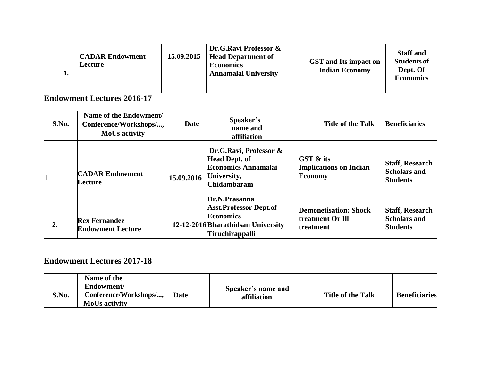| ı. | <b>CADAR Endowment</b><br><b>Lecture</b> | 15.09.2015 | Dr.G.Ravi Professor &<br><b>Head Department of</b><br><b>Economics</b><br>Annamalai University | <b>GST</b> and Its impact on<br><b>Indian Economy</b> | <b>Staff and</b><br><b>Students of</b><br>Dept. Of<br><b>Economics</b> |
|----|------------------------------------------|------------|------------------------------------------------------------------------------------------------|-------------------------------------------------------|------------------------------------------------------------------------|
|----|------------------------------------------|------------|------------------------------------------------------------------------------------------------|-------------------------------------------------------|------------------------------------------------------------------------|

### **Endowment Lectures 2016-17**

| S.No. | Name of the Endowment/<br>Conference/Workshops/,<br><b>MoUs activity</b> | <b>Date</b> | Speaker's<br>name and<br>affiliation                                                                                               | Title of the Talk                                                       | <b>Beneficiaries</b>                                             |
|-------|--------------------------------------------------------------------------|-------------|------------------------------------------------------------------------------------------------------------------------------------|-------------------------------------------------------------------------|------------------------------------------------------------------|
|       | <b>CADAR Endowment</b><br>Lecture                                        | 15.09.2016  | Dr.G.Ravi, Professor &<br><b>Head Dept. of</b><br><b>Economics Annamalai</b><br>University,<br><b>Chidambaram</b>                  | <b>GST &amp; its</b><br><b>Implications on Indian</b><br><b>Economy</b> | <b>Staff, Research</b><br><b>Scholars and</b><br><b>Students</b> |
| 2.    | <b>Rex Fernandez</b><br><b>Endowment Lecture</b>                         |             | Dr.N.Prasanna<br><b>Asst.Professor Dept.of</b><br><b>Economics</b><br>12-12-2016 Bharathidsan University<br><b>Tiruchirappalli</b> | <b>Demonetisation: Shock</b><br>treatment Or Ill<br>treatment           | <b>Staff, Research</b><br><b>Scholars and</b><br><b>Students</b> |

### **Endowment Lectures 2017-18**

| S.No. | Name of the<br>Endowment/<br>Conference/Workshops/,<br><b>MoUs activity</b> | Date | Speaker's name and<br>affiliation | <b>Title of the Talk</b> | <b>Beneficiaries</b> |
|-------|-----------------------------------------------------------------------------|------|-----------------------------------|--------------------------|----------------------|
|-------|-----------------------------------------------------------------------------|------|-----------------------------------|--------------------------|----------------------|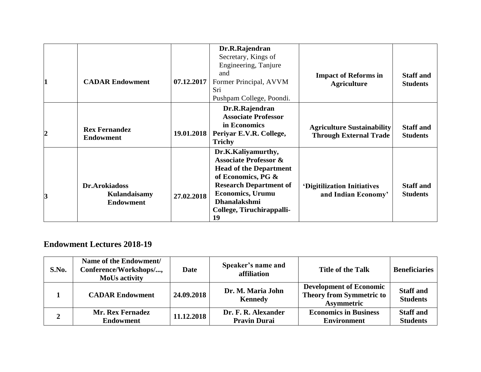|                | <b>CADAR Endowment</b>                            | 07.12.2017 | Dr.R.Rajendran<br>Secretary, Kings of<br>Engineering, Tanjure<br>and<br>Former Principal, AVVM<br>Sri<br>Pushpam College, Poondi.                                                                                             | <b>Impact of Reforms in</b><br><b>Agriculture</b>                  | <b>Staff and</b><br><b>Students</b> |
|----------------|---------------------------------------------------|------------|-------------------------------------------------------------------------------------------------------------------------------------------------------------------------------------------------------------------------------|--------------------------------------------------------------------|-------------------------------------|
| $\overline{c}$ | <b>Rex Fernandez</b><br><b>Endowment</b>          | 19.01.2018 | Dr.R.Rajendran<br><b>Associate Professor</b><br>in Economics<br>Periyar E.V.R. College,<br><b>Trichy</b>                                                                                                                      | <b>Agriculture Sustainability</b><br><b>Through External Trade</b> | <b>Staff</b> and<br><b>Students</b> |
| 3              | Dr.Arokiadoss<br>Kulandaisamy<br><b>Endowment</b> | 27.02.2018 | Dr.K.Kaliyamurthy,<br><b>Associate Professor &amp;</b><br><b>Head of the Department</b><br>of Economics, PG &<br><b>Research Department of</b><br><b>Economics</b> , Urumu<br>Dhanalakshmi<br>College, Tiruchirappalli-<br>19 | 'Digitilization Initiatives<br>and Indian Economy'                 | <b>Staff</b> and<br><b>Students</b> |

### **Endowment Lectures 2018-19**

| S.No. | Name of the Endowment/<br>Conference/Workshops/,<br><b>MoUs activity</b> | <b>Date</b> | Speaker's name and<br>affiliation          | <b>Title of the Talk</b>                                                               | <b>Beneficiaries</b>                |
|-------|--------------------------------------------------------------------------|-------------|--------------------------------------------|----------------------------------------------------------------------------------------|-------------------------------------|
|       | <b>CADAR Endowment</b>                                                   | 24.09.2018  | Dr. M. Maria John<br><b>Kennedy</b>        | <b>Development of Economic</b><br><b>Theory from Symmetric to</b><br><b>Asymmetric</b> | <b>Staff and</b><br><b>Students</b> |
|       | <b>Mr. Rex Fernadez</b><br><b>Endowment</b>                              | 11.12.2018  | Dr. F. R. Alexander<br><b>Pravin Durai</b> | <b>Economics in Business</b><br><b>Environment</b>                                     | <b>Staff and</b><br><b>Students</b> |